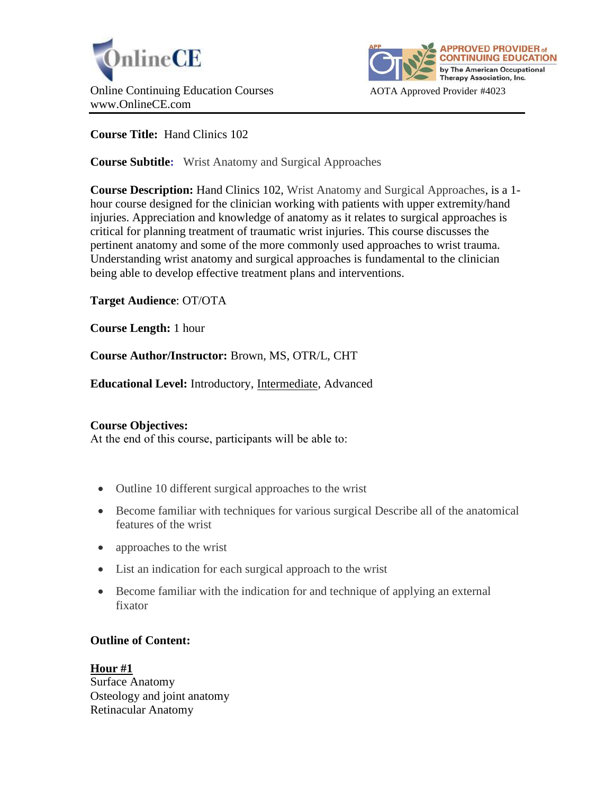



**Course Title:** Hand Clinics 102

**Course Subtitle:** Wrist Anatomy and Surgical Approaches

**Course Description:** Hand Clinics 102, Wrist Anatomy and Surgical Approaches, is a 1 hour course designed for the clinician working with patients with upper extremity/hand injuries. Appreciation and knowledge of anatomy as it relates to surgical approaches is critical for planning treatment of traumatic wrist injuries. This course discusses the pertinent anatomy and some of the more commonly used approaches to wrist trauma. Understanding wrist anatomy and surgical approaches is fundamental to the clinician being able to develop effective treatment plans and interventions.

**Target Audience**: OT/OTA

**Course Length:** 1 hour

**Course Author/Instructor:** Brown, MS, OTR/L, CHT

**Educational Level:** Introductory, Intermediate, Advanced

# **Course Objectives:**

At the end of this course, participants will be able to:

- Outline 10 different surgical approaches to the wrist
- Become familiar with techniques for various surgical Describe all of the anatomical features of the wrist
- approaches to the wrist
- List an indication for each surgical approach to the wrist
- Become familiar with the indication for and technique of applying an external fixator

# **Outline of Content:**

**Hour #1** Surface Anatomy Osteology and joint anatomy Retinacular Anatomy